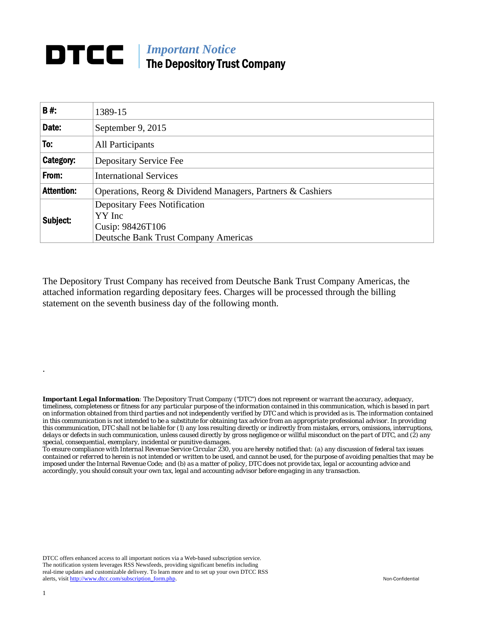## **DTCC** | *Important Notice* The Depository Trust Company

| <b>B#:</b>        | 1389-15                                                           |  |  |  |  |  |  |
|-------------------|-------------------------------------------------------------------|--|--|--|--|--|--|
| Date:             | September 9, 2015                                                 |  |  |  |  |  |  |
| To:               | All Participants                                                  |  |  |  |  |  |  |
| Category:         | Depositary Service Fee                                            |  |  |  |  |  |  |
| From:             | <b>International Services</b>                                     |  |  |  |  |  |  |
| <b>Attention:</b> | Operations, Reorg & Dividend Managers, Partners & Cashiers        |  |  |  |  |  |  |
| Subject:          | <b>Depositary Fees Notification</b><br>YY Inc<br>Cusip: 98426T106 |  |  |  |  |  |  |
|                   | <b>Deutsche Bank Trust Company Americas</b>                       |  |  |  |  |  |  |

The Depository Trust Company has received from Deutsche Bank Trust Company Americas, the attached information regarding depositary fees. Charges will be processed through the billing statement on the seventh business day of the following month.

*Important Legal Information: The Depository Trust Company ("DTC") does not represent or warrant the accuracy, adequacy, timeliness, completeness or fitness for any particular purpose of the information contained in this communication, which is based in part on information obtained from third parties and not independently verified by DTC and which is provided as is. The information contained in this communication is not intended to be a substitute for obtaining tax advice from an appropriate professional advisor. In providing this communication, DTC shall not be liable for (1) any loss resulting directly or indirectly from mistakes, errors, omissions, interruptions, delays or defects in such communication, unless caused directly by gross negligence or willful misconduct on the part of DTC, and (2) any special, consequential, exemplary, incidental or punitive damages.* 

*To ensure compliance with Internal Revenue Service Circular 230, you are hereby notified that: (a) any discussion of federal tax issues contained or referred to herein is not intended or written to be used, and cannot be used, for the purpose of avoiding penalties that may be imposed under the Internal Revenue Code; and (b) as a matter of policy, DTC does not provide tax, legal or accounting advice and accordingly, you should consult your own tax, legal and accounting advisor before engaging in any transaction.*

DTCC offers enhanced access to all important notices via a Web-based subscription service. The notification system leverages RSS Newsfeeds, providing significant benefits including real-time updates and customizable delivery. To learn more and to set up your own DTCC RSS alerts, visit http://www.dtcc.com/subscription\_form.php. Non-Confidential

.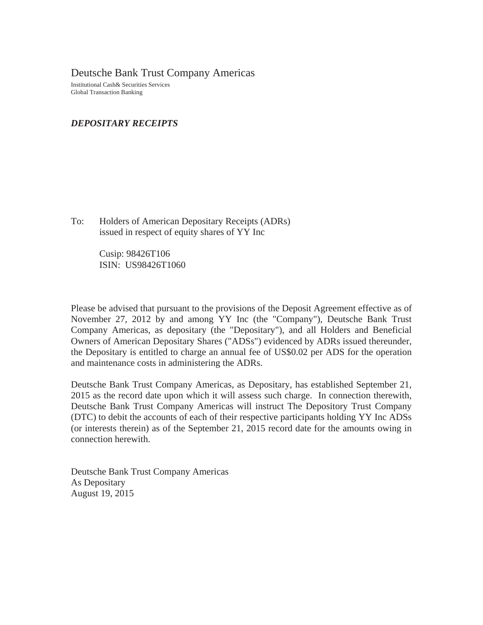Deutsche Bank Trust Company Americas

Institutional Cash& Securities Services Global Transaction Banking

## *DEPOSITARY RECEIPTS*

To: Holders of American Depositary Receipts (ADRs) issued in respect of equity shares of YY Inc

> Cusip: 98426T106 ISIN: US98426T1060

Please be advised that pursuant to the provisions of the Deposit Agreement effective as of November 27, 2012 by and among YY Inc (the "Company"), Deutsche Bank Trust Company Americas, as depositary (the "Depositary"), and all Holders and Beneficial Owners of American Depositary Shares ("ADSs") evidenced by ADRs issued thereunder, the Depositary is entitled to charge an annual fee of US\$0.02 per ADS for the operation and maintenance costs in administering the ADRs.

Deutsche Bank Trust Company Americas, as Depositary, has established September 21, 2015 as the record date upon which it will assess such charge. In connection therewith, Deutsche Bank Trust Company Americas will instruct The Depository Trust Company (DTC) to debit the accounts of each of their respective participants holding YY Inc ADSs (or interests therein) as of the September 21, 2015 record date for the amounts owing in connection herewith.

Deutsche Bank Trust Company Americas As Depositary August 19, 2015